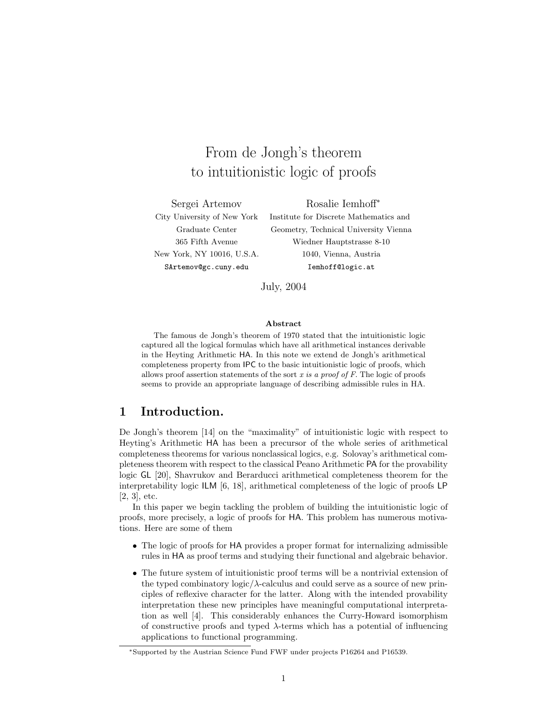# From de Jongh's theorem to intuitionistic logic of proofs

Sergei Artemov Rosalie Iemhoff<sup>∗</sup>

City University of New York Institute for Discrete Mathematics and Graduate Center Geometry, Technical University Vienna 365 Fifth Avenue Wiedner Hauptstrasse 8-10 New York, NY 10016, U.S.A. 1040, Vienna, Austria SArtemov@gc.cuny.edu Iemhoff@logic.at

July, 2004

#### Abstract

The famous de Jongh's theorem of 1970 stated that the intuitionistic logic captured all the logical formulas which have all arithmetical instances derivable in the Heyting Arithmetic HA. In this note we extend de Jongh's arithmetical completeness property from IPC to the basic intuitionistic logic of proofs, which allows proof assertion statements of the sort x is a proof of  $F$ . The logic of proofs seems to provide an appropriate language of describing admissible rules in HA.

# 1 Introduction.

De Jongh's theorem [14] on the "maximality" of intuitionistic logic with respect to Heyting's Arithmetic HA has been a precursor of the whole series of arithmetical completeness theorems for various nonclassical logics, e.g. Solovay's arithmetical completeness theorem with respect to the classical Peano Arithmetic PA for the provability logic GL [20], Shavrukov and Berarducci arithmetical completeness theorem for the interpretability logic ILM [6, 18], arithmetical completeness of the logic of proofs LP  $[2, 3]$ , etc.

In this paper we begin tackling the problem of building the intuitionistic logic of proofs, more precisely, a logic of proofs for HA. This problem has numerous motivations. Here are some of them

- The logic of proofs for HA provides a proper format for internalizing admissible rules in HA as proof terms and studying their functional and algebraic behavior.
- The future system of intuitionistic proof terms will be a nontrivial extension of the typed combinatory  $logic/\lambda$ -calculus and could serve as a source of new principles of reflexive character for the latter. Along with the intended provability interpretation these new principles have meaningful computational interpretation as well [4]. This considerably enhances the Curry-Howard isomorphism of constructive proofs and typed  $\lambda$ -terms which has a potential of influencing applications to functional programming.

<sup>∗</sup>Supported by the Austrian Science Fund FWF under projects P16264 and P16539.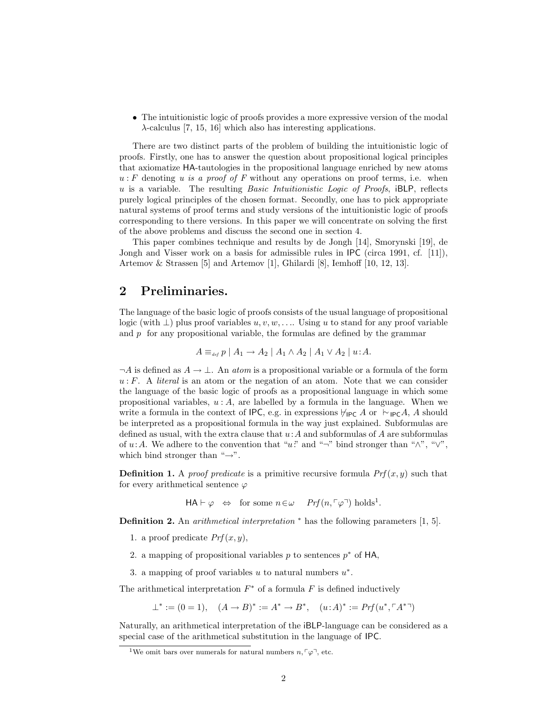• The intuitionistic logic of proofs provides a more expressive version of the modal λ-calculus [7, 15, 16] which also has interesting applications.

There are two distinct parts of the problem of building the intuitionistic logic of proofs. Firstly, one has to answer the question about propositional logical principles that axiomatize HA-tautologies in the propositional language enriched by new atoms  $u : F$  denoting u is a proof of F without any operations on proof terms, i.e. when  $u$  is a variable. The resulting *Basic Intuitionistic Logic of Proofs*, iBLP, reflects purely logical principles of the chosen format. Secondly, one has to pick appropriate natural systems of proof terms and study versions of the intuitionistic logic of proofs corresponding to there versions. In this paper we will concentrate on solving the first of the above problems and discuss the second one in section 4.

This paper combines technique and results by de Jongh [14], Smorynski [19], de Jongh and Visser work on a basis for admissible rules in IPC (circa 1991, cf. [11]), Artemov & Strassen [5] and Artemov [1], Ghilardi [8], Iemhoff [10, 12, 13].

# 2 Preliminaries.

The language of the basic logic of proofs consists of the usual language of propositional logic (with  $\perp$ ) plus proof variables  $u, v, w, \ldots$  Using u to stand for any proof variable and  $p$  for any propositional variable, the formulas are defined by the grammar

$$
A \equiv_{def} p \mid A_1 \rightarrow A_2 \mid A_1 \wedge A_2 \mid A_1 \vee A_2 \mid u:A.
$$

 $\neg A$  is defined as  $A \to \bot$ . An *atom* is a propositional variable or a formula of the form  $u : F.$  A *literal* is an atom or the negation of an atom. Note that we can consider the language of the basic logic of proofs as a propositional language in which some propositional variables,  $u : A$ , are labelled by a formula in the language. When we write a formula in the context of IPC, e.g. in expressions  $\nvdash_{\mathsf{IPC}} A$  or  $\vdash_{\mathsf{IPC}} A$ , A should be interpreted as a propositional formula in the way just explained. Subformulas are defined as usual, with the extra clause that  $u:A$  and subformulas of A are subformulas of u:A. We adhere to the convention that "u" and "¬" bind stronger than " $\wedge$ ", " $\vee$ ", which bind stronger than " $\rightarrow$ ".

**Definition 1.** A proof predicate is a primitive recursive formula  $Prf(x, y)$  such that for every arithmetical sentence  $\varphi$ 

 $HA \vdash \varphi \Leftrightarrow \text{ for some } n \in \omega \quad Prf(n, \lceil \varphi \rceil) \text{ holds}^1.$ 

Definition 2. An *arithmetical interpretation* <sup>∗</sup> has the following parameters [1, 5].

- 1. a proof predicate  $Prf(x, y)$ ,
- 2. a mapping of propositional variables  $p$  to sentences  $p^*$  of HA,
- 3. a mapping of proof variables u to natural numbers  $u^*$ .

The arithmetical interpretation  $F^*$  of a formula  $F$  is defined inductively

 $\perp^* := (0 = 1), \quad (A \to B)^* := A^* \to B^*, \quad (u : A)^* := Prf(u^*, \ulcorner A^{*} \urcorner)$ 

Naturally, an arithmetical interpretation of the iBLP-language can be considered as a special case of the arithmetical substitution in the language of IPC.

<sup>&</sup>lt;sup>1</sup>We omit bars over numerals for natural numbers  $n, \lceil \varphi \rceil$ , etc.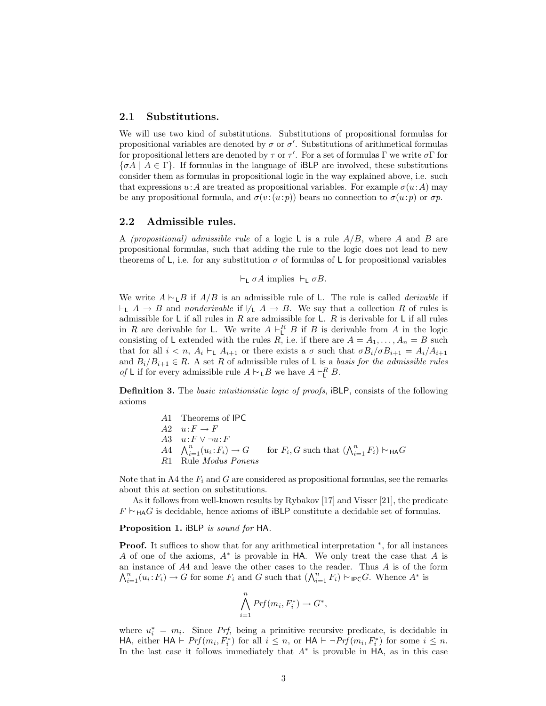## 2.1 Substitutions.

We will use two kind of substitutions. Substitutions of propositional formulas for propositional variables are denoted by  $\sigma$  or  $\sigma'$ . Substitutions of arithmetical formulas for propositional letters are denoted by  $\tau$  or  $\tau'$ . For a set of formulas  $\Gamma$  we write  $\sigma \Gamma$  for  ${\lbrace \sigma A \mid A \in \Gamma \rbrace}$ . If formulas in the language of iBLP are involved, these substitutions consider them as formulas in propositional logic in the way explained above, i.e. such that expressions  $u: A$  are treated as propositional variables. For example  $\sigma(u: A)$  may be any propositional formula, and  $\sigma(v:(u:p))$  bears no connection to  $\sigma(u:p)$  or  $\sigma p$ .

## 2.2 Admissible rules.

A *(propositional)* admissible rule of a logic L is a rule  $A/B$ , where A and B are propositional formulas, such that adding the rule to the logic does not lead to new theorems of L, i.e. for any substitution  $\sigma$  of formulas of L for propositional variables

 $\vdash_{\mathsf{L}} \sigma A$  implies  $\vdash_{\mathsf{L}} \sigma B$ .

We write  $A \vdash_L B$  if  $A/B$  is an admissible rule of L. The rule is called *derivable* if  $\vdash_L A \to B$  and nonderivable if  $\nvdash_L A \to B$ . We say that a collection R of rules is admissible for  $L$  if all rules in  $R$  are admissible for  $L$ .  $R$  is derivable for  $L$  if all rules in R are derivable for L. We write  $A \vdash^R_L B$  if B is derivable from A in the logic consisting of L extended with the rules R, i.e. if there are  $A = A_1, \ldots, A_n = B$  such that for all  $i < n$ ,  $A_i \vdash_L A_{i+1}$  or there exists a  $\sigma$  such that  $\sigma B_i/\sigma B_{i+1} = A_i/A_{i+1}$ and  $B_i/B_{i+1} \in R$ . A set R of admissible rules of L is a basis for the admissible rules *of* L if for every admissible rule  $A \vdash_{\mathsf{L}} B$  we have  $A \vdash_{\mathsf{L}}^R B$ .

Definition 3. The basic intuitionistic logic of proofs, iBLP, consists of the following axioms

> A1 Theorems of IPC  $A2 \quad u: F \to F$ A3  $u\!:\!F\vee \neg u\!:\!F$ A3  $u: F \vee \neg u: F$ <br>  $A4 \wedge_{i=1}^{n} (u_i: F_i) \rightarrow G$  for  $F_i, G$  such that  $(\bigwedge_{i=1}^{n} F_i) \vdash_{\mathsf{HA}} G$ R1 Rule Modus Ponens

Note that in A4 the  $F_i$  and G are considered as propositional formulas, see the remarks about this at section on substitutions.

As it follows from well-known results by Rybakov [17] and Visser [21], the predicate  $F \vdash_{\mathsf{H}\mathsf{A}} G$  is decidable, hence axioms of iBLP constitute a decidable set of formulas.

#### Proposition 1. iBLP is sound for HA.

Proof. It suffices to show that for any arithmetical interpretation  $*$ , for all instances A of one of the axioms,  $A^*$  is provable in HA. We only treat the case that A is an instance of A4 and leave the other cases to the reader. Thus A is of the form an instance of A4 and leave the other cases to the reader. Thus A is of the  $\bigwedge_{i=1}^n (u_i : F_i) \to G$  for some  $F_i$  and G such that  $(\bigwedge_{i=1}^n F_i) \vdash_{\mathsf{IPC}} G$ . Whence  $A^*$  is

$$
\bigwedge_{i=1}^{n} Prf(m_i, F_i^*) \to G^*,
$$

where  $u_i^* = m_i$ . Since *Prf*, being a primitive recursive predicate, is decidable in HA, either  $HA \vdash Prf(m_i, F_i^*)$  for all  $i \leq n$ , or  $HA \vdash \neg Prf(m_i, F_i^*)$  for some  $i \leq n$ . In the last case it follows immediately that  $A^*$  is provable in  $HA$ , as in this case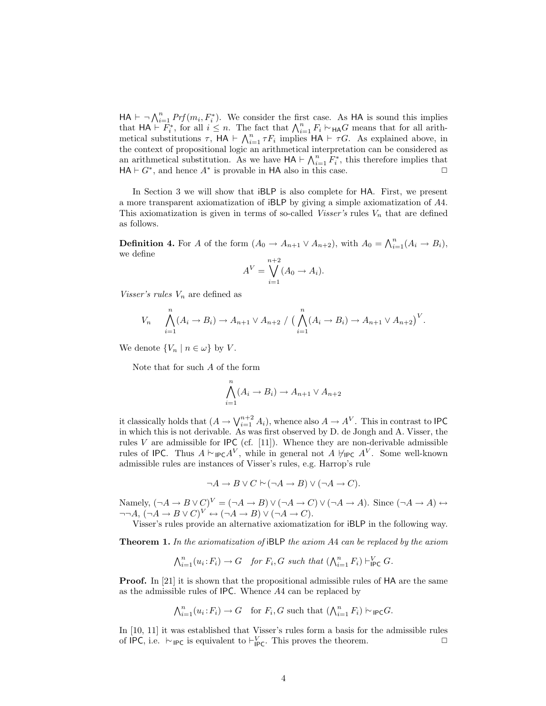$HA \vdash \neg \bigwedge_{i=1}^{n} Prf(m_i, F_i^*)$ . We consider the first case. As HA is sound this implies  $H A \rightharpoonup \gamma_{i=1}$   $Frj$  ( $m_i, r_i$ ). We consider the first case. As  $H A$  is sound this implies<br>that  $H A \rightharpoonup F_i^*$ , for all  $i \leq n$ . The fact that  $\bigwedge_{i=1}^n F_i \rightharpoonup_{H A} G$  means that for all ariththat  $AR \nightharpoonup F_i$ , for an  $i \leq n$ . The fact that  $\bigwedge_{i=1}^n r_i \sim_{HAG}$  means that for an arithmetical substitutions  $\tau$ ,  $HA \vdash \bigwedge_{i=1}^n \tau F_i$  implies  $HA \vdash \tau G$ . As explained above, in the context of propositional logic an arithmetical interpretation can be considered as the context of propositional logic an arithmetical interpretation can be considered as<br>an arithmetical substitution. As we have  $HA \vdash \bigwedge_{i=1}^{n} F_i^*$ , this therefore implies that  $HA \vdash G^*$ , and hence  $A^*$  is provable in HA also in this case.

In Section 3 we will show that iBLP is also complete for HA. First, we present a more transparent axiomatization of iBLP by giving a simple axiomatization of A4. This axiomatization is given in terms of so-called Visser's rules  $V_n$  that are defined as follows.

**Definition 4.** For A of the form  $(A_0 \to A_{n+1} \lor A_{n+2})$ , with  $A_0 = \bigwedge_{i=1}^n (A_i \to B_i)$ , we define

$$
A^V = \bigvee_{i=1}^{n+2} (A_0 \to A_i).
$$

Visser's rules  $V_n$  are defined as

$$
V_n \qquad \bigwedge_{i=1}^n (A_i \to B_i) \to A_{n+1} \vee A_{n+2} / \Big( \bigwedge_{i=1}^n (A_i \to B_i) \to A_{n+1} \vee A_{n+2} \Big)^V.
$$

We denote  $\{V_n \mid n \in \omega\}$  by V.

Note that for such A of the form

$$
\bigwedge_{i=1}^{n} (A_i \to B_i) \to A_{n+1} \vee A_{n+2}
$$

it classically holds that  $(A \to \bigvee_{i=1}^{n+2} A_i)$ , whence also  $A \to A^V$ . This in contrast to IPC in which this is not derivable. As was first observed by D. de Jongh and A. Visser, the rules  $V$  are admissible for IPC (cf. [11]). Whence they are non-derivable admissible rules of IPC. Thus  $A \vdash_{\mathsf{IPC}} A^V$ , while in general not  $A \not\models_{\mathsf{IPC}} A^V$ . Some well-known admissible rules are instances of Visser's rules, e.g. Harrop's rule

$$
\neg A \to B \lor C \vdash (\neg A \to B) \lor (\neg A \to C).
$$

Namely,  $(\neg A \rightarrow B \lor C)^V = (\neg A \rightarrow B) \lor (\neg A \rightarrow C) \lor (\neg A \rightarrow A)$ . Since  $(\neg A \rightarrow A) \leftrightarrow$  $\neg\neg A, (\neg A \rightarrow B \vee C)^V \leftrightarrow (\neg A \rightarrow B) \vee (\neg A \rightarrow C).$ 

Visser's rules provide an alternative axiomatization for iBLP in the following way.

**Theorem 1.** In the axiomatization of iBLP the axiom  $A4$  can be replaced by the axiom

$$
\bigwedge_{i=1}^{n} (u_i \colon F_i) \to G \quad \text{for } F_i, G \text{ such that } (\bigwedge_{i=1}^{n} F_i) \vdash_{\mathsf{IPC}}^V G.
$$

**Proof.** In [21] it is shown that the propositional admissible rules of HA are the same as the admissible rules of IPC. Whence A4 can be replaced by

$$
\bigwedge_{i=1}^{n} (u_i \colon F_i) \to G \quad \text{for } F_i, G \text{ such that } (\bigwedge_{i=1}^{n} F_i) \vdash_{\mathsf{IPC}} G.
$$

In [10, 11] it was established that Visser's rules form a basis for the admissible rules of IPC, i.e.  $\vdash_{\mathsf{IPC}}$  is equivalent to  $\vdash_{\mathsf{IPC}}^V$ . This proves the theorem.  $\Box$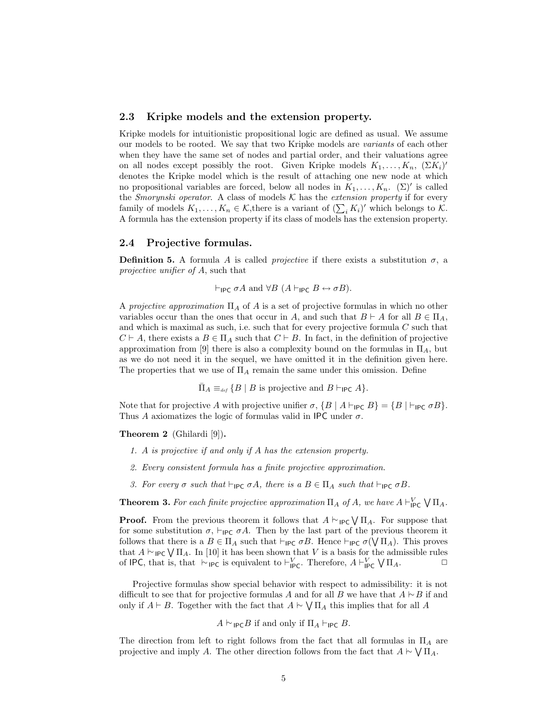## 2.3 Kripke models and the extension property.

Kripke models for intuitionistic propositional logic are defined as usual. We assume our models to be rooted. We say that two Kripke models are variants of each other when they have the same set of nodes and partial order, and their valuations agree on all nodes except possibly the root. Given Kripke models  $K_1, \ldots, K_n$ ,  $(\Sigma K_i)'$ denotes the Kripke model which is the result of attaching one new node at which no propositional variables are forced, below all nodes in  $K_1, \ldots, K_n$ . ( $\Sigma$ )' is called the Smorynski operator. A class of models  $K$  has the extension property if for every the *Smorynski operator*. A class of models  $\kappa$  has the *extension property* if for every family of models  $K_1, \ldots, K_n \in \mathcal{K}$ , there is a variant of  $(\sum_i K_i)'$  which belongs to  $\mathcal{K}$ . A formula has the extension property if its class of models has the extension property.

## 2.4 Projective formulas.

**Definition 5.** A formula A is called *projective* if there exists a substitution  $\sigma$ , a projective unifier of A, such that

 $\vdash_{\mathsf{IPC}} \sigma A$  and  $\forall B \ (A \vdash_{\mathsf{IPC}} B \leftrightarrow \sigma B).$ 

A projective approximation  $\Pi_A$  of A is a set of projective formulas in which no other variables occur than the ones that occur in A, and such that  $B \vdash A$  for all  $B \in \Pi_A$ , and which is maximal as such, i.e. such that for every projective formula C such that  $C \vdash A$ , there exists a  $B \in \Pi_A$  such that  $C \vdash B$ . In fact, in the definition of projective approximation from [9] there is also a complexity bound on the formulas in  $\Pi_A$ , but as we do not need it in the sequel, we have omitted it in the definition given here. The properties that we use of  $\Pi_A$  remain the same under this omission. Define

 $\bar{\Pi}_A \equiv_{\text{def}} \{ B \mid B \text{ is projective and } B \vdash_{\mathsf{IPC}} A \}.$ 

Note that for projective A with projective unifier  $\sigma$ ,  $\{B \mid A \vdash_{\textsf{IPC}} B\} = \{B \mid \vdash_{\textsf{IPC}} \sigma B\}.$ Thus A axiomatizes the logic of formulas valid in IPC under  $\sigma$ .

Theorem 2 (Ghilardi [9]).

- 1. A is projective if and only if A has the extension property.
- 2. Every consistent formula has a finite projective approximation.
- 3. For every  $\sigma$  such that  $\vdash_{\mathsf{IPC}} \sigma A$ , there is a  $B \in \Pi_A$  such that  $\vdash_{\mathsf{IPC}} \sigma B$ .

**Theorem 3.** For each finite projective approximation  $\Pi_A$  of A, we have  $A \vdash^V_{\mathsf{IPC}}$  $\sqrt{\Pi_A}$ .

**Proof.** From the previous theorem it follows that  $A \vdash_{\mathsf{IPC}} \bigvee \Pi_A$ . For suppose that for some substitution  $\sigma$ ,  $\vdash_{\mathsf{IPC}} \sigma A$ . Then by the last part of the previous theorem it follows that there is a  $B \in \Pi_A$  such that  $\vdash_{\mathsf{IPC}} \sigma B$ . Hence  $\vdash_{\mathsf{IPC}} \sigma(\bigvee \Pi_A)$ . This proves that  $A \vdash_{\mathsf{IPC}} \bigvee \Pi_A$ . In [10] it has been shown that V is a basis for the admissible rules<br>that  $A \vdash_{\mathsf{IPC}} \bigvee \Pi_A$ . In [10] it has been shown that V is a basis for the admissible rules of IPC, that is, that  $\vdash_{\mathsf{IPC}}$  is equivalent to  $\vdash_{\mathsf{IPC}}^V$ . Therefore,  $A \vdash_{\mathsf{IPC}}^V \bigvee \Pi_A$ .  $\Box$ 

Projective formulas show special behavior with respect to admissibility: it is not difficult to see that for projective formulas A and for all B we have that  $A \vdash B$  if and only if  $A \vdash B$ . Together with the fact that  $A \vdash \bigvee \Pi_A$  this implies that for all A

 $A \vdash_{\mathsf{IPC}} B$  if and only if  $\Pi_A \vdash_{\mathsf{IPC}} B$ .

The direction from left to right follows from the fact that all formulas in  $\Pi_A$  are projective and imply A. The other direction follows from the fact that  $A \vdash \bigvee \Pi_A$ .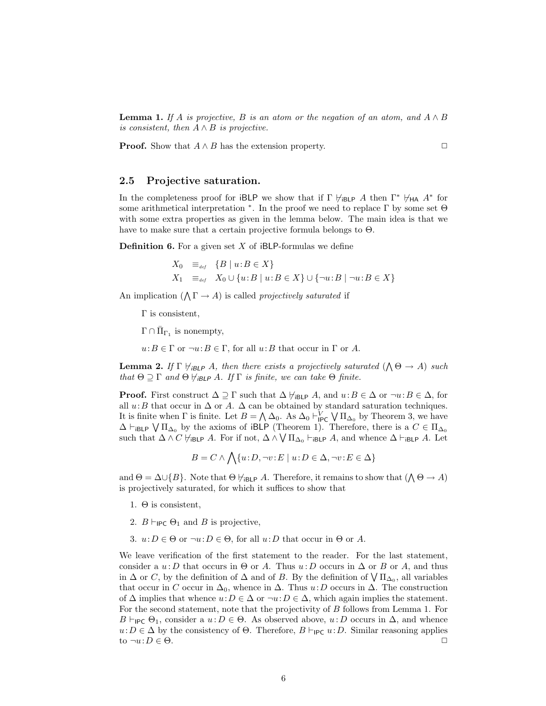**Lemma 1.** If A is projective, B is an atom or the negation of an atom, and  $A \wedge B$ is consistent, then  $A \wedge B$  is projective.

**Proof.** Show that  $A \wedge B$  has the extension property.  $\Box$ 

## 2.5 Projective saturation.

In the completeness proof for iBLP we show that if  $\Gamma \not\vdash_{\mathsf{IBLP}} A$  then  $\Gamma^* \not\vdash_{\mathsf{HA}} A^*$  for some arithmetical interpretation  $*$ . In the proof we need to replace  $\Gamma$  by some set  $\Theta$ with some extra properties as given in the lemma below. The main idea is that we have to make sure that a certain projective formula belongs to  $\Theta$ .

**Definition 6.** For a given set  $X$  of iBLP-formulas we define

$$
X_0 \equiv_{def} \{B \mid u:B \in X\}
$$
  
\n
$$
X_1 \equiv_{def} X_0 \cup \{u:B \mid u:B \in X\} \cup \{\neg u:B \mid \neg u:B \in X\}
$$

An implication  $(\bigwedge \Gamma \to A)$  is called *projectively saturated* if

Γ is consistent,

 $\Gamma \cap \overline{\Pi}_{\Gamma_1}$  is nonempty,

 $u:B \in \Gamma$  or  $\neg u:B \in \Gamma$ , for all  $u:B$  that occur in  $\Gamma$  or A.

**Lemma 2.** If  $\Gamma \nvdash_{i \text{BLP}} A$ , then there exists a projectively saturated  $(A \Theta \rightarrow A)$  such that  $\Theta \supseteq \Gamma$  and  $\Theta \not\models_{i \text{BLP}} A$ . If  $\Gamma$  is finite, we can take  $\Theta$  finite.

**Proof.** First construct  $\Delta \supseteq \Gamma$  such that  $\Delta \not\models_{i\text{BLP}} A$ , and  $u:B \in \Delta$  or  $\neg u:B \in \Delta$ , for all  $u: B$  that occur in  $\Delta$  or  $A$ .  $\Delta$  can be obtained by standard saturation techniques. It is finite when Γ is finite. Let  $B = \bigwedge \Delta_0$ . As  $\Delta_0 \vdash_{\mathsf{IPC}}^V \bigvee \Pi_{\Delta_0}$  by Theorem 3, we have  $\Delta \vdash_{\mathsf{IBLP}} \bigvee \Pi_{\Delta_0}$  by the axioms of iBLP (Theorem 1). Therefore, there is a  $C \in \Pi_{\Delta_0}$ such that  $\Delta \wedge C \not\models_{\mathsf{iBLP}} A$ . For if not,  $\Delta \wedge \bigvee \Pi_{\Delta_0} \vdash_{\mathsf{iBLP}} A$ , and whence  $\Delta \vdash_{\mathsf{iBLP}} A$ . Let

$$
B = C \land \bigwedge \{u : D, \neg v : E \mid u : D \in \Delta, \neg v : E \in \Delta\}
$$

and  $\Theta = \Delta \cup \{B\}$ . Note that  $\Theta \not\models_{\mathsf{iBLP}} A$ . Therefore, it remains to show that  $(\bigwedge \Theta \to A)$ is projectively saturated, for which it suffices to show that

- 1. Θ is consistent,
- 2.  $B \vdash_{\mathsf{IPC}} \Theta_1$  and B is projective,
- 3.  $u: D \in \Theta$  or  $\neg u: D \in \Theta$ , for all  $u: D$  that occur in  $\Theta$  or A.

We leave verification of the first statement to the reader. For the last statement, consider a  $u : D$  that occurs in  $\Theta$  or A. Thus  $u : D$  occurs in  $\Delta$  or B or A, and thus consider a  $u: D$  that occurs in  $\Theta$  or A. Thus  $u: D$  occurs in  $\Delta$  or B or A, and thus in  $\Delta$  or C, by the definition of  $\Delta$  and of B. By the definition of  $\sqrt{\Pi_{\Delta_0}}$ , all variables that occur in C occur in  $\Delta_0$ , whence in  $\Delta$ . Thus  $u: D$  occurs in  $\Delta$ . The construction of  $\Delta$  implies that whence  $u: D \in \Delta$  or  $\neg u: D \in \Delta$ , which again implies the statement. For the second statement, note that the projectivity of B follows from Lemma 1. For  $B \vdash_{\mathsf{IPC}} \Theta_1$ , consider a  $u : D \in \Theta$ . As observed above,  $u : D$  occurs in  $\Delta$ , and whence  $u: D \in \Delta$  by the consistency of  $\Theta$ . Therefore,  $B \vdash_{\mathsf{IPC}} u: D$ . Similar reasoning applies to  $\neg u: D \in \Theta$ .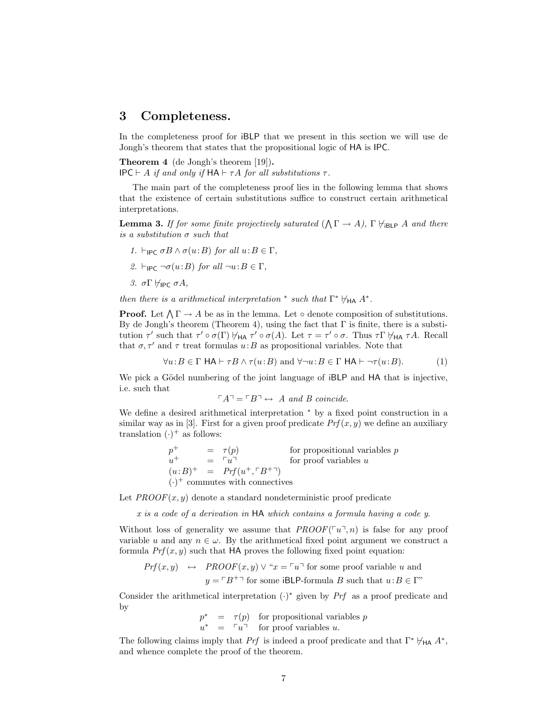# 3 Completeness.

In the completeness proof for iBLP that we present in this section we will use de Jongh's theorem that states that the propositional logic of HA is IPC.

Theorem 4 (de Jongh's theorem [19]). IPC  $\vdash$  A if and only if  $HA \vdash \tau A$  for all substitutions  $\tau$ .

The main part of the completeness proof lies in the following lemma that shows that the existence of certain substitutions suffice to construct certain arithmetical interpretations.

**Lemma 3.** If for some finite projectively saturated  $(\bigwedge \Gamma \to A)$ ,  $\Gamma \nvdash_{i \text{BLP}} A$  and there is a substitution  $\sigma$  such that

- 1.  $\vdash_{\mathsf{IPC}} \sigma B \wedge \sigma(u:B)$  for all  $u:B \in \Gamma$ ,
- 2.  $\vdash_{\mathsf{IPC}} \neg \sigma(u:B)$  for all  $\neg u:B \in \Gamma$ ,
- 3. σΓ $\forall$ IPC σΑ,

then there is a arithmetical interpretation \* such that  $\Gamma^* \not\models_{\mathsf{HA}} A^*$ .

**Proof.** Let  $\bigwedge \Gamma \to A$  be as in the lemma. Let ∘ denote composition of substitutions. By de Jongh's theorem (Theorem 4), using the fact that  $\Gamma$  is finite, there is a substitution  $\tau'$  such that  $\tau' \circ \sigma(\Gamma) \not\vdash_{HA} \tau' \circ \sigma(A)$ . Let  $\tau = \tau' \circ \sigma$ . Thus  $\tau \Gamma \not\vdash_{HA} \tau A$ . Recall that  $\sigma, \tau'$  and  $\tau$  treat formulas  $u:B$  as propositional variables. Note that

$$
\forall u : B \in \Gamma \text{ HA} \vdash \tau B \land \tau(u : B) \text{ and } \forall \neg u : B \in \Gamma \text{ HA} \vdash \neg \tau(u : B). \tag{1}
$$

We pick a Gödel numbering of the joint language of  $iBLP$  and HA that is injective, i.e. such that

$$
\ulcorner A \urcorner = \ulcorner B \urcorner \leftrightarrow A \text{ and } B \text{ coincide.}
$$

We define a desired arithmetical interpretation <sup>∗</sup> by a fixed point construction in a similar way as in [3]. First for a given proof predicate  $Prf(x, y)$  we define an auxiliary translation  $(\cdot)^+$  as follows:

> $p^+$  =  $\tau(p)$  for propositional variables p  $u^+$  =  $\lceil u \rceil$  for proof variables u  $(u:B)^+ = Prf(u^+,\ulcorner B^{+\urcorner})$  $(\cdot)^+$  commutes with connectives

Let  $PROOF(x, y)$  denote a standard nondeterministic proof predicate

x is a code of a derivation in HA which contains a formula having a code y.

Without loss of generality we assume that  $PROOF(\lceil u \rceil, n)$  is false for any proof variable u and any  $n \in \omega$ . By the arithmetical fixed point argument we construct a formula  $Prf(x, y)$  such that HA proves the following fixed point equation:

$$
Prf(x, y) \leftrightarrow \text{PROOF}(x, y) \lor \text{``}x = \ulcorner u \urcorner \text{ for some proof variable } u \text{ and}
$$
  
 $y = \ulcorner B^+ \urcorner \text{ for some iBLP-formula } B \text{ such that } u : B \in \Gamma \text{''}$ 

Consider the arithmetical interpretation  $(\cdot)^*$  given by Prf as a proof predicate and by

$$
p^* = \tau(p) \quad \text{for propositional variables } p
$$
  

$$
u^* = \ulcorner u \urcorner \quad \text{for proof variables } u.
$$

The following claims imply that Prf is indeed a proof predicate and that  $\Gamma^* \not\models_{\mathsf{HA}} A^*$ , and whence complete the proof of the theorem.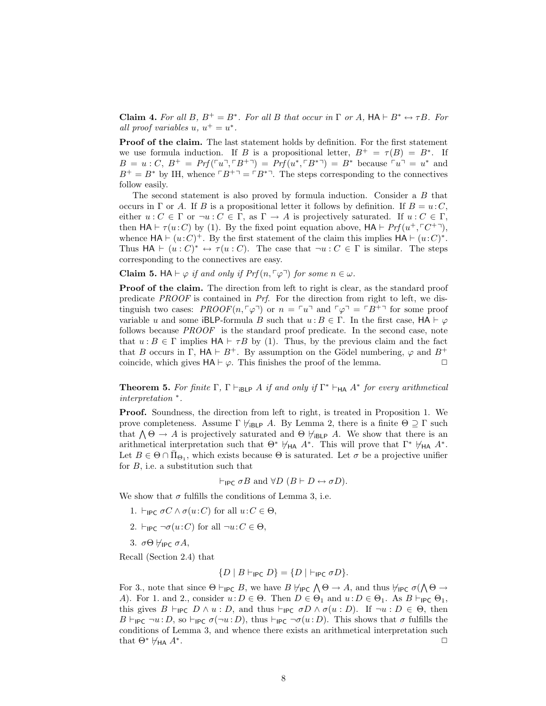**Claim 4.** For all B,  $B^+ = B^*$ . For all B that occur in  $\Gamma$  or A,  $HA \vdash B^* \leftrightarrow \tau B$ . For all proof variables  $u, u^+ = u^*$ .

Proof of the claim. The last statement holds by definition. For the first statement we use formula induction. If B is a propositional letter,  $B^+ = \tau(B) = B^*$ . If  $B = u : C, B^+ = Prf(\ulcorner u \urcorner, \ulcorner B^{+} \urcorner) = Prf(u^*, \ulcorner B^{*} \urcorner) = B^*$  because  $\ulcorner u \urcorner = u^*$  and  $B^+ = B^*$  by IH, whence  $\lceil B^{+} \rceil = \lceil B^{*} \rceil$ . The steps corresponding to the connectives follow easily.

The second statement is also proved by formula induction. Consider a B that occurs in  $\Gamma$  or A. If B is a propositional letter it follows by definition. If  $B = u \cdot C$ , either  $u: C \in \Gamma$  or  $\neg u: C \in \Gamma$ , as  $\Gamma \to A$  is projectively saturated. If  $u: C \in \Gamma$ , then  $HA \vdash \tau(u:C)$  by (1). By the fixed point equation above,  $HA \vdash Prf(u^+, \ulcorner C^{+}\urcorner),$ whence  $HA \vdash (u:C)^+$ . By the first statement of the claim this implies  $HA \vdash (u:C)^*$ . Thus  $HA \vdash (u : C)^* \leftrightarrow \tau(u : C)$ . The case that  $\neg u : C \in \Gamma$  is similar. The steps corresponding to the connectives are easy.

**Claim 5.** HA  $\vdash \varphi$  if and only if  $Prf(n, \lceil \varphi \rceil)$  for some  $n \in \omega$ .

Proof of the claim. The direction from left to right is clear, as the standard proof predicate PROOF is contained in Prf. For the direction from right to left, we distinguish two cases:  $PROOF(n, \lceil \varphi \rceil)$  or  $n = \lceil u \rceil$  and  $\lceil \varphi \rceil = \lceil B^{+} \rceil$  for some proof variable u and some iBLP-formula B such that  $u : B \in \Gamma$ . In the first case,  $HA \vdash \varphi$ follows because PROOF is the standard proof predicate. In the second case, note that  $u : B \in \Gamma$  implies  $HA \vdash \tau B$  by (1). Thus, by the previous claim and the fact that B occurs in Γ,  $HA \vdash B^+$ . By assumption on the Gödel numbering,  $\varphi$  and  $B^+$ coincide, which gives  $HA \vdash \varphi$ . This finishes the proof of the lemma.

**Theorem 5.** For finite  $\Gamma$ ,  $\Gamma \vdash_{\mathsf{iBLP}} A$  if and only if  $\Gamma^* \vdash_{\mathsf{HA}} A^*$  for every arithmetical interpretation <sup>∗</sup> .

Proof. Soundness, the direction from left to right, is treated in Proposition 1. We prove completeness. Assume  $\Gamma \not\models_{\mathsf{IBLP}} A$ . By Lemma 2, there is a finite  $\Theta \supseteq \Gamma$  such prove completeness. Assume 1  $\tau_{iBLP}$  A. By Lemma 2, there is a limite  $\Theta \supseteq 1$  such that  $\Lambda \Theta \to A$  is projectively saturated and  $\Theta \not\models_{iBLP} A$ . We show that there is an arithmetical interpretation such that  $\Theta^* \not\vdash_{\mathsf{HA}} A^*$ . This will prove that  $\Gamma^* \not\vdash_{\mathsf{HA}} A^*$ . Let  $B \in \Theta \cap \overline{\Pi}_{\Theta_1}$ , which exists because  $\Theta$  is saturated. Let  $\sigma$  be a projective unifier for  $B$ , i.e. a substitution such that

 $\vdash_{\mathsf{IPC}} \sigma B$  and  $\forall D \ (B \vdash D \leftrightarrow \sigma D).$ 

We show that  $\sigma$  fulfills the conditions of Lemma 3, i.e.

- 1.  $\vdash_{\mathsf{IPC}} \sigma C \wedge \sigma(u:C)$  for all  $u:C \in \Theta$ ,
- 2.  $\vdash_{\mathsf{IPC}} \neg \sigma(u:C)$  for all  $\neg u:C \in \Theta$ ,
- 3.  $\sigma\Theta$   $\forall$ IPC  $\sigma A$ ,

Recall (Section 2.4) that

$$
\{D \mid B \vdash_{\mathsf{IPC}} D\} = \{D \mid \vdash_{\mathsf{IPC}} \sigma D\}.
$$

For 3., note that since  $\Theta \vdash_{\mathsf{IPC}} B$ , we have  $B \nvDash_{\mathsf{IPC}} \bigwedge \Theta \to A$ , and thus  $\nvdash_{\mathsf{IPC}} \sigma(\bigwedge \Theta \to$ A). For 1. and 2., consider  $u : D \in \Theta$ . Then  $D \in \Theta_1$  and  $u : D \in \Theta_1$ . As  $B \vdash_{\mathsf{IPC}} \Theta_1$ , this gives  $B \vdash_{\mathsf{IPC}} D \wedge u : D$ , and thus  $\vdash_{\mathsf{IPC}} \sigma D \wedge \sigma(u : D)$ . If  $\neg u : D \in \Theta$ , then  $B \vdash_{\mathsf{IPC}} \neg u : D$ , so  $\vdash_{\mathsf{IPC}} \sigma(\neg u : D)$ , thus  $\vdash_{\mathsf{IPC}} \neg \sigma(u : D)$ . This shows that  $\sigma$  fulfills the conditions of Lemma 3, and whence there exists an arithmetical interpretation such that  $\Theta^* \not\models_{\mathsf{HA}} A^*$ . . ✷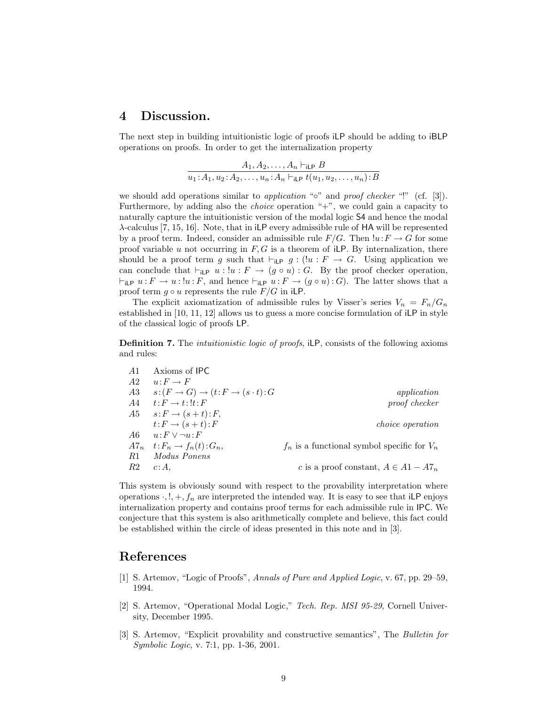# 4 Discussion.

The next step in building intuitionistic logic of proofs iLP should be adding to iBLP operations on proofs. In order to get the internalization property

$$
\frac{A_1, A_2, \dots, A_n \vdash_{\mathsf{iLP}} B}{u_1: A_1, u_2: A_2, \dots, u_n: A_n \vdash_{\mathsf{iLP}} t(u_1, u_2, \dots, u_n): B}
$$

we should add operations similar to *application* "∘" and *proof checker* "!" (cf. [3]). Furthermore, by adding also the *choice* operation  $+$ ", we could gain a capacity to naturally capture the intuitionistic version of the modal logic S4 and hence the modal  $\lambda$ -calculus [7, 15, 16]. Note, that in iLP every admissible rule of HA will be represented by a proof term. Indeed, consider an admissible rule  $F/G$ . Then  $!u: F \to G$  for some proof variable u not occurring in  $F, G$  is a theorem of iLP. By internalization, there should be a proof term g such that  $\vdash_{\mathsf{iLP}} g : (\mathsf{!}u : F \to G)$ . Using application we can conclude that  $\vdash_{i\textsf{LP}} u : !u : F \to (g \circ u) : G$ . By the proof checker operation,  $\vdash_{\mathsf{iLP}} u : F \to u : !u : F$ , and hence  $\vdash_{\mathsf{iLP}} u : F \to (g \circ u) : G$ . The latter shows that a proof term  $g \circ u$  represents the rule  $F/G$  in iLP.

The explicit axiomatization of admissible rules by Visser's series  $V_n = F_n/G_n$ established in [10, 11, 12] allows us to guess a more concise formulation of iLP in style of the classical logic of proofs LP.

**Definition 7.** The *intuitionistic logic of proofs*, iLP, consists of the following axioms and rules:

| -A1        | Axioms of IPC                         |                                                 |
|------------|---------------------------------------|-------------------------------------------------|
| A2         | $u: F \to F$                          |                                                 |
| A3         | $s:(F\to G)\to (t:F\to (s\cdot t):G)$ | application                                     |
| <i>A</i> 4 | $t: F \to t: \mathcal{F}: F$          | proof checker                                   |
| A5         | $s: F \to (s+t): F$                   |                                                 |
|            | $t: F \to (s+t): F$                   | <i>choice operation</i>                         |
| -46        | $u: F \vee \neg u: F$                 |                                                 |
|            | $A7_n \t t: F_n \to f_n(t): G_n,$     | $f_n$ is a functional symbol specific for $V_n$ |
| -R1        | Modus Ponens                          |                                                 |
| R2         | c:A.                                  | c is a proof constant, $A \in A1 - A7_n$        |

This system is obviously sound with respect to the provability interpretation where operations  $\cdot, !$ ,  $+$ ,  $f_n$  are interpreted the intended way. It is easy to see that iLP enjoys internalization property and contains proof terms for each admissible rule in IPC. We conjecture that this system is also arithmetically complete and believe, this fact could be established within the circle of ideas presented in this note and in [3].

# References

- [1] S. Artemov, "Logic of Proofs", Annals of Pure and Applied Logic, v. 67, pp. 29–59, 1994.
- [2] S. Artemov, "Operational Modal Logic," Tech. Rep. MSI 95-29, Cornell University, December 1995.
- [3] S. Artemov, "Explicit provability and constructive semantics", The Bulletin for Symbolic Logic, v. 7:1, pp. 1-36, 2001.